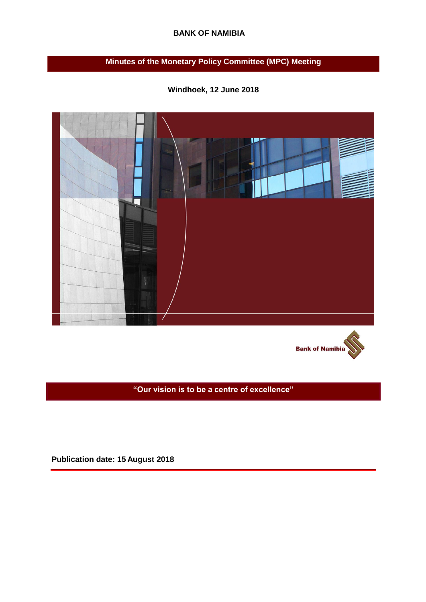# **BANK OF NAMIBIA**

# **Minutes of the Monetary Policy Committee (MPC) Meeting**







**"Our vision is to be a centre of excellence"**

**Publication date: 15 August 2018**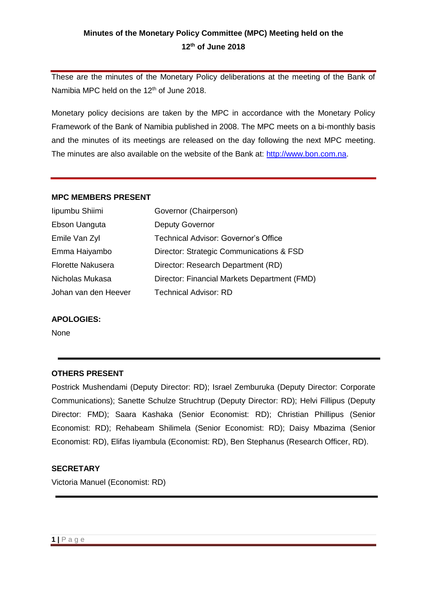# **Minutes of the Monetary Policy Committee (MPC) Meeting held on the 12th of June 2018**

These are the minutes of the Monetary Policy deliberations at the meeting of the Bank of Namibia MPC held on the 12<sup>th</sup> of June 2018.

Monetary policy decisions are taken by the MPC in accordance with the Monetary Policy Framework of the Bank of Namibia published in 2008. The MPC meets on a bi-monthly basis and the minutes of its meetings are released on the day following the next MPC meeting. The minutes are also available on the website of the Bank at: [http://www.bon.com.na.](http://www.bon.com.na/)

#### **MPC MEMBERS PRESENT**

| lipumbu Shiimi           | Governor (Chairperson)                       |
|--------------------------|----------------------------------------------|
| Ebson Uanguta            | <b>Deputy Governor</b>                       |
| Emile Van Zyl            | <b>Technical Advisor: Governor's Office</b>  |
| Emma Haiyambo            | Director: Strategic Communications & FSD     |
| <b>Florette Nakusera</b> | Director: Research Department (RD)           |
| Nicholas Mukasa          | Director: Financial Markets Department (FMD) |
| Johan van den Heever     | <b>Technical Advisor: RD</b>                 |

#### **APOLOGIES:**

None

#### **OTHERS PRESENT**

Postrick Mushendami (Deputy Director: RD); Israel Zemburuka (Deputy Director: Corporate Communications); Sanette Schulze Struchtrup (Deputy Director: RD); Helvi Fillipus (Deputy Director: FMD); Saara Kashaka (Senior Economist: RD); Christian Phillipus (Senior Economist: RD); Rehabeam Shilimela (Senior Economist: RD); Daisy Mbazima (Senior Economist: RD), Elifas Iiyambula (Economist: RD), Ben Stephanus (Research Officer, RD).

### **SECRETARY**

Victoria Manuel (Economist: RD)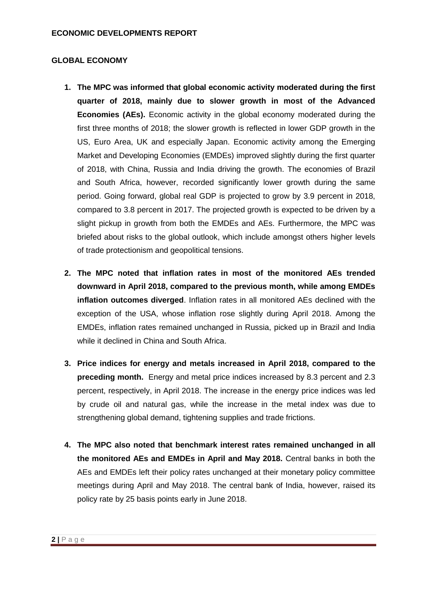# **GLOBAL ECONOMY**

- **1. The MPC was informed that global economic activity moderated during the first quarter of 2018, mainly due to slower growth in most of the Advanced Economies (AEs).** Economic activity in the global economy moderated during the first three months of 2018; the slower growth is reflected in lower GDP growth in the US, Euro Area, UK and especially Japan. Economic activity among the Emerging Market and Developing Economies (EMDEs) improved slightly during the first quarter of 2018, with China, Russia and India driving the growth. The economies of Brazil and South Africa, however, recorded significantly lower growth during the same period. Going forward, global real GDP is projected to grow by 3.9 percent in 2018, compared to 3.8 percent in 2017. The projected growth is expected to be driven by a slight pickup in growth from both the EMDEs and AEs. Furthermore, the MPC was briefed about risks to the global outlook, which include amongst others higher levels of trade protectionism and geopolitical tensions.
- **2. The MPC noted that inflation rates in most of the monitored AEs trended downward in April 2018, compared to the previous month, while among EMDEs inflation outcomes diverged**. Inflation rates in all monitored AEs declined with the exception of the USA, whose inflation rose slightly during April 2018. Among the EMDEs, inflation rates remained unchanged in Russia, picked up in Brazil and India while it declined in China and South Africa.
- **3. Price indices for energy and metals increased in April 2018, compared to the preceding month.** Energy and metal price indices increased by 8.3 percent and 2.3 percent, respectively, in April 2018. The increase in the energy price indices was led by crude oil and natural gas, while the increase in the metal index was due to strengthening global demand, tightening supplies and trade frictions.
- **4. The MPC also noted that benchmark interest rates remained unchanged in all the monitored AEs and EMDEs in April and May 2018.** Central banks in both the AEs and EMDEs left their policy rates unchanged at their monetary policy committee meetings during April and May 2018. The central bank of India, however, raised its policy rate by 25 basis points early in June 2018.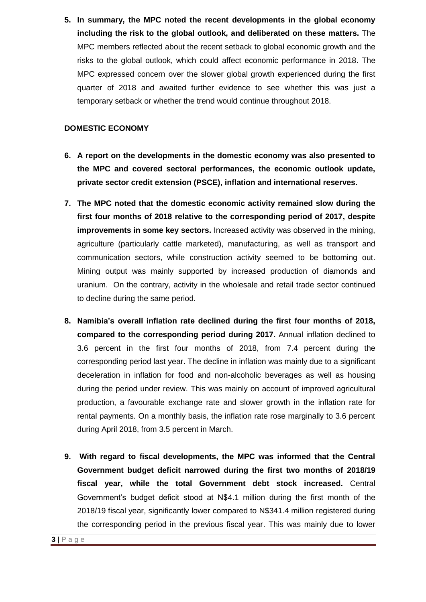**5. In summary, the MPC noted the recent developments in the global economy including the risk to the global outlook, and deliberated on these matters.** The MPC members reflected about the recent setback to global economic growth and the risks to the global outlook, which could affect economic performance in 2018. The MPC expressed concern over the slower global growth experienced during the first quarter of 2018 and awaited further evidence to see whether this was just a temporary setback or whether the trend would continue throughout 2018.

# **DOMESTIC ECONOMY**

- **6. A report on the developments in the domestic economy was also presented to the MPC and covered sectoral performances, the economic outlook update, private sector credit extension (PSCE), inflation and international reserves.**
- **7. The MPC noted that the domestic economic activity remained slow during the first four months of 2018 relative to the corresponding period of 2017, despite improvements in some key sectors.** Increased activity was observed in the mining, agriculture (particularly cattle marketed), manufacturing, as well as transport and communication sectors, while construction activity seemed to be bottoming out. Mining output was mainly supported by increased production of diamonds and uranium. On the contrary, activity in the wholesale and retail trade sector continued to decline during the same period.
- **8. Namibia's overall inflation rate declined during the first four months of 2018, compared to the corresponding period during 2017.** Annual inflation declined to 3.6 percent in the first four months of 2018, from 7.4 percent during the corresponding period last year. The decline in inflation was mainly due to a significant deceleration in inflation for food and non-alcoholic beverages as well as housing during the period under review. This was mainly on account of improved agricultural production, a favourable exchange rate and slower growth in the inflation rate for rental payments. On a monthly basis, the inflation rate rose marginally to 3.6 percent during April 2018, from 3.5 percent in March.
- **9. With regard to fiscal developments, the MPC was informed that the Central Government budget deficit narrowed during the first two months of 2018/19 fiscal year, while the total Government debt stock increased.** Central Government's budget deficit stood at N\$4.1 million during the first month of the 2018/19 fiscal year, significantly lower compared to N\$341.4 million registered during the corresponding period in the previous fiscal year. This was mainly due to lower